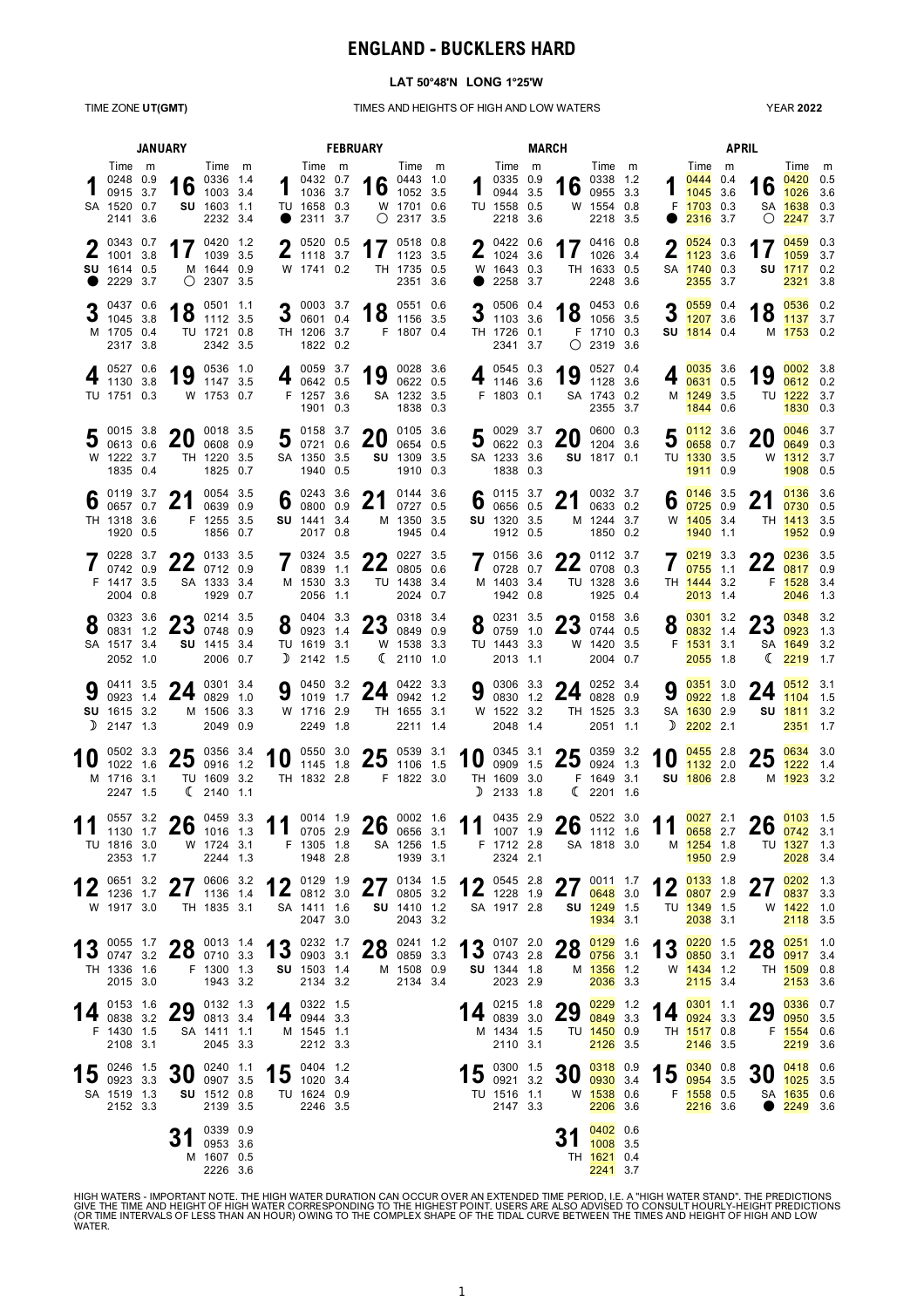# **ENGLAND - BUCKLERS HARD**

#### **LAT 50°48'N LONG 1°25'W**

#### TIME ZONE **UT(GMT)** TIMES AND HEIGHTS OF HIGH AND LOW WATERS

YEAR **2022**

|   | <b>JANUARY</b>                                                  |  |                                            |                                                                  |  |                                                                                                                                                                                                                                                                                                                 |                                                                           | <b>FEBRUARY</b>                                             |                                                                             |  |                                                                                       | <b>MARCH</b> |                                                 |                                                             | <b>APRIL</b>               |                                                                          |  |                            |                                                                                   |  |
|---|-----------------------------------------------------------------|--|--------------------------------------------|------------------------------------------------------------------|--|-----------------------------------------------------------------------------------------------------------------------------------------------------------------------------------------------------------------------------------------------------------------------------------------------------------------|---------------------------------------------------------------------------|-------------------------------------------------------------|-----------------------------------------------------------------------------|--|---------------------------------------------------------------------------------------|--------------|-------------------------------------------------|-------------------------------------------------------------|----------------------------|--------------------------------------------------------------------------|--|----------------------------|-----------------------------------------------------------------------------------|--|
|   | Time m<br>0248 0.9<br>0915 3.7<br>SA 1520 0.7<br>2141 3.6       |  | 16                                         | Time m<br>0336 1.4<br>1003 3.4<br><b>SU</b> 1603 1.1<br>2232 3.4 |  |                                                                                                                                                                                                                                                                                                                 | Time m<br>$1^{0432}$ 0.7<br>1036 3.7<br>TU 1658 0.3<br>$\bullet$ 2311 3.7 |                                                             | Time m<br>16 $^{0443}$ 1.0<br>1052 3.5<br>W 1701 0.6<br>$\bigcirc$ 2317 3.5 |  | Time m<br>$\frac{0335}{0944}$ $\frac{0.9}{35}$<br>0944 3.5<br>TU 1558 0.5<br>2218 3.6 |              | 16                                              | Time m<br>0338 1.2<br>0955 3.3<br>W 1554 0.8<br>2218 3.5    |                            | Time m<br>104440.4<br>1045 3.6<br>F 1703 0.3<br>$\bullet$ 2316 3.7       |  |                            | Time m<br>$0420$ 0.5<br>16 $\frac{0420}{1026}$ 3.6<br>SA 1638 0.3<br>$O$ 2247 3.7 |  |
|   | $2^{0343}$ 0.7<br>1001 3.8<br>SU 1614 0.5<br>2229 3.7           |  |                                            | 17 $^{0420}$ 1.2<br>1039 3.5<br>M 1644 0.9<br>$O$ 2307 3.5       |  |                                                                                                                                                                                                                                                                                                                 | $2^{05200.5}_{11183.7}$<br>W 1741 0.2                                     | 17 $^{0518}$ 0.8                                            | TH 1735 0.5<br>2351 3.6                                                     |  | $2^{0422}_{1024}$ 0.6<br>W 1643 0.3<br>2258 3.7                                       |              |                                                 | 17 $^{0416}$ 0.8<br>TH 1633 0.5<br>2248 3.6                 |                            | $\bigcap_{0.524} 0.3$<br>$\frac{1}{1123}$ 3.6<br>SA 1740 0.3<br>2355 3.7 |  | 17                         | $0459$ 0.3<br>1059 3.7<br>SU 1717 0.2<br>2321 3.8                                 |  |
|   | 0437 0.6<br>$3\frac{0437}{1045}$ 3.8<br>M 1705 0.4<br>2317 3.8  |  |                                            | 18 $^{0501}$ 1.1<br>TU 1721 0.8<br>2342 3.5                      |  |                                                                                                                                                                                                                                                                                                                 | $3^{0003}$ 3.7<br>0601 0.4<br>TH 1206 3.7<br>1822 0.2                     |                                                             | 18 $^{0551}$ 0.6<br>18 1156 3.5<br>F 1807 0.4                               |  | 3 $\frac{0506}{1103}$ 3.6<br>TH 1726 0.1<br>2341 3.7                                  |              |                                                 | $18$ $^{0453}$ $^{0.6}$ 3.5<br>F 1710 0.3<br>$O$ 2319 3.6   |                            | $9 \t0559$ 0.4<br>$\frac{1}{1207}$ 3.6<br>SU 1814 0.4                    |  |                            | 18 $\frac{0536}{1137}$ 3.7<br>M 1753 0.2                                          |  |
|   | ∣ 0527 0.6<br>$4\frac{1}{1130}$ 3.8<br>TU 1751 0.3              |  | 19 $\frac{0536}{1147}$ 3.5                 | W 1753 0.7                                                       |  |                                                                                                                                                                                                                                                                                                                 | 4 $^{0059}$ 3.7<br>0642 0.5<br>F 1257 3.6<br>1901 0.3                     |                                                             | 19 0028 3.6<br>SA 1232 3.5<br>1838 0.3                                      |  | 4 $\frac{0545}{1146}$ 3.6<br>F 1803 0.1                                               |              |                                                 | 19 $^{0527}$ 0.4<br>SA 1743 0.2<br>2355 3.7                 |                            | $4 \frac{0035}{0631}$ 0.5<br>M 1249 3.5<br>1844 0.6                      |  |                            | 19 $\frac{0002}{0612}$ 3.8<br>TU 1222 3.7<br>1830 0.3                             |  |
|   | 0015 3.8<br>0613 0.6<br>W 1222 3.7<br>1835 0.4                  |  | <b>20</b>                                  | 0018 3.5<br>0608 0.9<br>TH 1220 3.5<br>1825 0.7                  |  |                                                                                                                                                                                                                                                                                                                 | 5 $^{0158}$ 3.7<br>0721 0.6<br>SA 1350 3.5<br>1940 0.5                    | 20                                                          | 0105 3.6<br>0654 0.5<br>SU 1309 3.5<br>1910 0.3                             |  | $5\substack{0029\\0622}$ 0.3 20<br>$J_{0622}$ 0.3<br>SA 1233 3.6<br>1838 0.3          |              |                                                 | 0600 0.3<br>1204 3.6<br>SU 1817 0.1                         | 5                          | 0112 3.6<br>0658 0.7<br>TU 1330 3.5<br>1911 0.9                          |  | 20                         | $0046$ 3.7<br>$0649$ 0.3<br>W 1312 3.7<br>1908 0.5                                |  |
| 6 | .0119.37<br>0657 0.7<br>TH 1318 3.6<br>1920 0.5                 |  | 21                                         | 0054 3.5<br>0639 0.9<br>F 1255 3.5<br>1856 0.7                   |  |                                                                                                                                                                                                                                                                                                                 | 6 $_{0800}^{0243}$ 3.6<br>SU 1441 3.4<br>2017 0.8                         |                                                             | 21 $^{0144}$ 3.6<br>M 1350 3.5<br>1945 0.4                                  |  | 6 $^{0115}$ 3.7<br>0656 0.5<br>SU 1320 3.5<br>1912 0.5                                |              | 21                                              | 0032 3.7<br>0633 0.2<br>M 1244 3.7<br>1850 0.2              |                            | $6 \frac{0146}{0725}$ 3.5<br>W 1405 3.4<br>1940 1.1                      |  | 21                         | 0136 3.6<br>0730 0.5<br>TH 1413 3.5<br>1952 0.9                                   |  |
|   | F 1417 3.5<br>2004 0.8                                          |  | 7 0228 3.7 22 0133 3.5                     | SA 1333 3.4<br>1929 0.7                                          |  |                                                                                                                                                                                                                                                                                                                 | $7^{0324}_{0839}$ 1.1<br>M 1530 3.3<br>2056 1.1                           | <b>22</b> 0227 3.5                                          | $22$ 0805 0.6<br>TU 1438 3.4<br>2024 0.7                                    |  | 7 0156 3.6<br>M 1403 3.4<br>1942 0.8                                                  |              | 22 $^{0112}$ 3.7                                | TU 1328 3.6<br>1925 0.4                                     | $\mathbf{I}$               | 7021933<br>$0755$ 1.1<br>TH 1444 3.2<br>2013 1.4                         |  | 22 $\frac{0236}{0817}$ 0.9 | F 1528 3.4<br>2046 1.3                                                            |  |
|   | $8\degree$ <sup>0323</sup> 3.6<br>SA 1517 3.4<br>2052 1.0       |  | 0214 3.5<br>2507480.9                      | SU 1415 3.4<br>2006 0.7                                          |  |                                                                                                                                                                                                                                                                                                                 | $2^{0404}$ 3.3<br>$0$ 0923 1.4<br>TU 1619 3.1<br>$D$ 2142 1.5             |                                                             | $23$ $0318$ 3.4<br>W 1538 3.3<br>(2110 1.0                                  |  | $8^{0231}$ 3.5<br>0759 1.0<br>TU 1443 3.3<br>2013 1.1                                 |              | 23 $^{0158}$ 3.6                                | W 1420 3.5<br>2004 0.7                                      |                            | $Q$ $0301$ 3.2<br>0832 1.4<br>F 1531 3.1<br>$2055$ 1.8                   |  | 23 $\frac{0348}{0923}$ 3.2 | SA 1649 3.2<br>$\binom{2219}{1.7}$                                                |  |
|   | <b>9</b> $\frac{0411}{0022}$ 3.5<br>SU 1615 3.2<br>$D$ 2147 1.3 |  | 24 $^{0301}$ 3.4                           | M 1506 3.3<br>2049 0.9                                           |  |                                                                                                                                                                                                                                                                                                                 | W 1716 2.9<br>2249 1.8                                                    | 9 $\frac{0450}{1019}$ 1.7 <b>24</b> $\frac{0422}{0942}$ 1.2 | TH 1655 3.1<br>2211 1.4                                                     |  | W 1522 3.2<br>2048 1.4                                                                |              | 9 0306 3.3 24 0252 3.4                          | TH 1525 3.3<br>2051 1.1                                     |                            | 9 $\frac{0351}{0922}$ 1.8<br>SA 1630 2.9<br>$D$ 2202 2.1                 |  |                            | 24 $\frac{0512}{1104}$ 3.1<br>SU 1811 3.2<br>2351 1.7                             |  |
|   | 0502 3.3<br>M 1716 3.1<br>2247 1.5                              |  | <b>25</b> 0356 3.4<br>1022 1.6 40 0916 1.2 | TU 1609 3.2<br>$\binom{2140}{}$ 1.1                              |  |                                                                                                                                                                                                                                                                                                                 | TH 1832 2.8                                                               | 10 0550 3.0 25 0539 3.1<br>F 1822 3.0                       |                                                                             |  | TH 1609 3.0<br>$D$ 2133 1.8                                                           |              | 10 $^{0345}$ 3.1 25 $^{0359}$ 3.2<br>F 1649 3.1 | (22011.6                                                    | 10                         | $0455$ 2.8<br>1132 2.0<br>SU 1806 2.8                                    |  | ク斥                         | 0634 3.0<br>$23$ $1222$ 1.4<br>M 1923 3.2                                         |  |
|   | TU 1816 3.0<br>2353 1.7                                         |  |                                            | W 1724 3.1<br>2244 1.3                                           |  | $\frac{0.557}{1130}$ $\frac{3.2}{1.7}$ <b>26</b> $\frac{0.459}{1016}$ $\frac{3.3}{1.3}$ <b>11</b> $\frac{0.014}{0.705}$ $\frac{1.9}{2.9}$ <b>26</b> $\frac{0.002}{0.656}$ $\frac{1.6}{3.1}$ <b>11</b> $\frac{0.435}{1007}$ $\frac{2.9}{1.9}$ <b>26</b> $\frac{0.522}{1112}$ $\frac{3.0}{1.6}$ <b>11</b> $\frac$ | F 1305 1.8<br>1948 2.8                                                    |                                                             | SA 1256 1.5<br>1939 3.1                                                     |  | F 1712 2.8<br>2324 2.1                                                                |              |                                                 | SA 1818 3.0                                                 |                            | M 1254 1.8<br>1950 2.9                                                   |  |                            | TU 1327 1.3<br>2028 3.4                                                           |  |
|   | $42^{0651}3.2$<br>$\mathbf{Z}$ 1236 1.7<br>W 1917 3.0           |  | 27 $^{0606}$ 3.2                           | TH 1835 3.1                                                      |  |                                                                                                                                                                                                                                                                                                                 | 12 0129 1.9<br>$12_{0812}30$<br>SA 1411 1.6<br>2047 3.0                   | 27 $^{0134}$ $^{1.5}$                                       | SU 1410 1.2<br>2043 3.2                                                     |  | SA 1917 2.8                                                                           |              | 12 $^{0545}$ $^{2.8}$ 27 $^{0011}$ $^{1.7}$     | SU 1249 1.5<br>1934 3.1                                     |                            | 12 $\frac{0133}{0807}$ 1.8<br>TU 1349 1.5<br>2038 3.1                    |  | $\mathbf{Z}$               | $270202$ 1.3<br>0837 3.3<br>W 1422 1.0<br>2118 3.5                                |  |
|   | TH 1336 1.6<br>2015 3.0                                         |  | 13 0055 1.7 28 0013 1.4                    | F 1300 1.3<br>1943 3.2                                           |  |                                                                                                                                                                                                                                                                                                                 | <b>SU</b> 1503 1.4<br>2134 3.2                                            | 13 0903 3.1 28 0859 3.3                                     | M 1508 0.9<br>2134 3.4                                                      |  | <b>SU</b> 1344 1.8<br>2023 2.9                                                        |              | 13 $^{0107}$ 2.0 28 $^{0129}$ 1.6               | M 1356 1.2<br>2036 3.3                                      | 13 $\frac{0220}{0850}$ 3.1 | W 1434 1.2<br>$2115$ 3.4                                                 |  |                            | $28 \frac{0251}{0917}$ 3.4<br>TH 1509 0.8<br>2153 3.6                             |  |
|   | F 1430 1.5<br>2108 3.1                                          |  | 14 $^{0153}$ $^{1.6}$ 29                   | 0132 1.3<br>0813 3.4<br>SA 1411 1.1<br>2045 3.3                  |  |                                                                                                                                                                                                                                                                                                                 | $0322$ 1.5<br>14 $^{0.522}_{0.944}$ 3.3<br>M 1545 1.1<br>2212 3.3         |                                                             |                                                                             |  | 0215 1.8<br>$14$ 0839 3.0<br>M 1434 1.5<br>2110 3.1                                   |              | 29                                              | $0229$ 1.2<br>0849 3.3<br>TU 1450 0.9<br>2126 3.5           |                            | l 0301 1.1<br>$14 \frac{0924}{0924}$ 3.3<br>TH 1517 0.8<br>2146 3.5      |  | 29                         | 0336 0.7<br>0950 3.5<br>F 1554 0.6<br>2219 3.6                                    |  |
|   | 15 $^{0246}$ $^{1.5}$ 3.3<br>SA 1519 1.3<br>2152 3.3            |  | 30 $^{0240}$ 1.1                           | SU 1512 0.8<br>2139 3.5                                          |  |                                                                                                                                                                                                                                                                                                                 | 15 $^{0404}$ 1.2<br>TU 1624 0.9<br>2246 3.5                               |                                                             |                                                                             |  | $15$ $^{0300}$ $^{1.5}_{0921}$ 3.2<br>TU 1516 1.1<br>2147 3.3                         |              | 30                                              | 0318 0.9<br>0930 3.4<br>W <mark>1538</mark> 0.6<br>2206 3.6 |                            | $15 \frac{0340}{0954}$ 3.5<br>F <mark>1558</mark> 0.5<br>2216 3.6        |  | 30 $\frac{0418}{1025}$ 0.6 | SA 1635 0.6<br>$2249$ 3.6                                                         |  |
|   |                                                                 |  |                                            | 0339 0.9<br>0953 3.6<br>M 1607 0.5<br>2226 3.6                   |  |                                                                                                                                                                                                                                                                                                                 |                                                                           |                                                             |                                                                             |  |                                                                                       |              |                                                 | $0402$ 0.6<br>1008 3.5<br>TH 1621 0.4<br>2241 3.7           |                            |                                                                          |  |                            |                                                                                   |  |

HIGH WATERS - IMPORTANT NOTE. THE HIGH WATER DURATION CAN OCCUR OVER AN EXTENDED TIME PERIOD, I.E. A "HIGH WATER STAND". THE PREDICTIONS<br>GIVE THE TIME AND HEIGHT OF HIGH WATER CORRESPONDING TO THE HIGHEST POINT. USERS ARE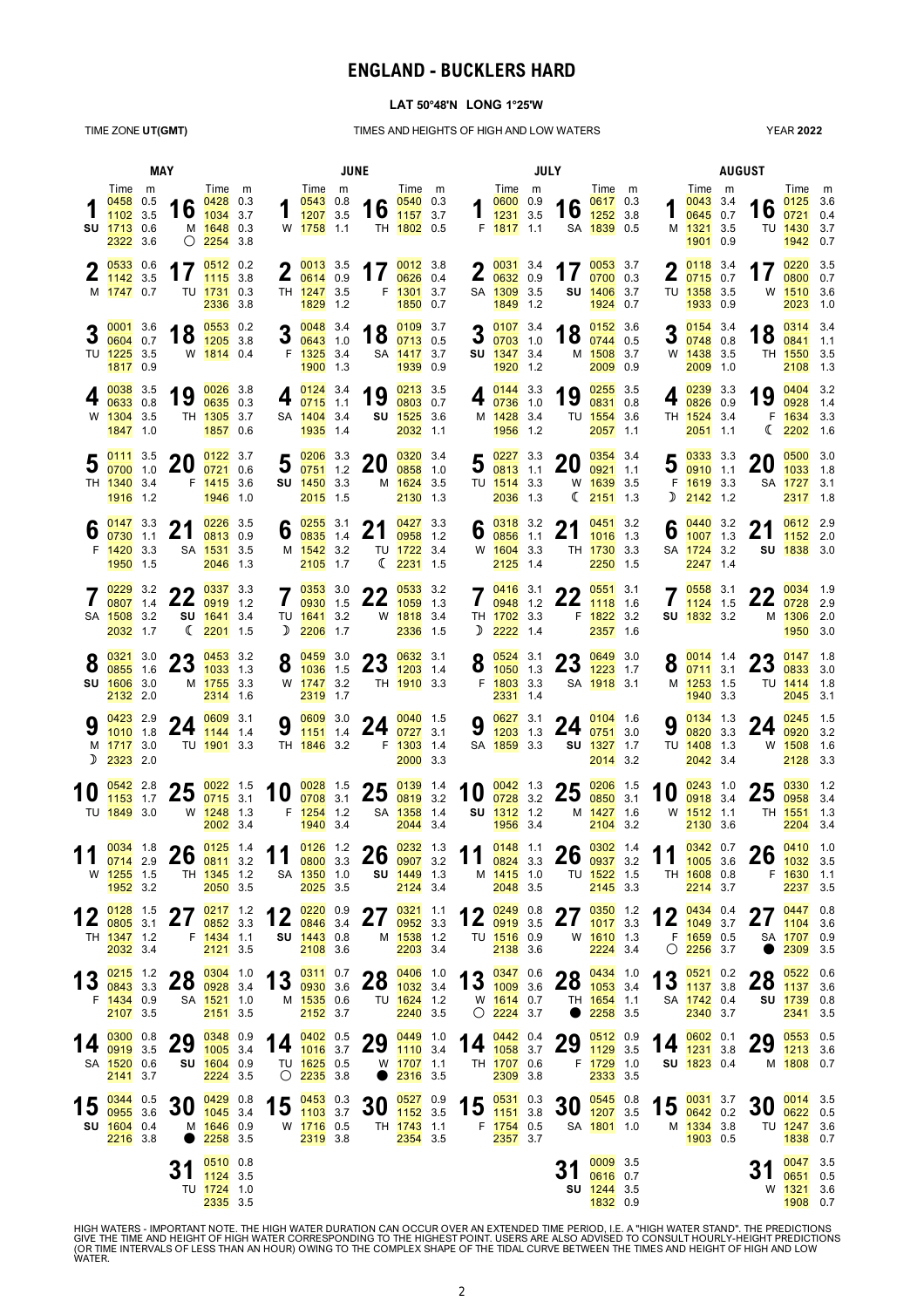### **ENGLAND - BUCKLERS HARD**

### **LAT 50°48'N LONG 1°25'W**

TIME ZONE **UT(GMT)** TIMES AND HEIGHTS OF HIGH AND LOW WATERS

YEAR **2022**

|    |                                                                                    | MAY |                                                                   |                                                                           | JUNE |                                                                     |  |                                                                                                                                         |                                                                    |  |                                                       | <b>JULY</b>                                                    |  |                                                                                          |                                                                 |  |                            | <b>AUGUST</b>                                              |  |                             |                                                                               |  |  |  |
|----|------------------------------------------------------------------------------------|-----|-------------------------------------------------------------------|---------------------------------------------------------------------------|------|---------------------------------------------------------------------|--|-----------------------------------------------------------------------------------------------------------------------------------------|--------------------------------------------------------------------|--|-------------------------------------------------------|----------------------------------------------------------------|--|------------------------------------------------------------------------------------------|-----------------------------------------------------------------|--|----------------------------|------------------------------------------------------------|--|-----------------------------|-------------------------------------------------------------------------------|--|--|--|
|    | Time m<br>$0458$ 0.5<br>1102 3.5<br><b>SU 1713 0.6</b><br>2322 3.6                 |     |                                                                   | Time m<br>16 $\frac{0428}{1034}$ 0.3<br>M 1648 0.3<br>$\bigcirc$ 2254 3.8 |      | Time m<br>$0543$ 0.8<br>$\frac{10043}{1207}$ 3.5<br>W 1758 1.1      |  |                                                                                                                                         | Time m<br>16 $\frac{0540}{1157}$ 3.7<br>TH 1802 0.5                |  |                                                       | Time m<br>0600 0.9<br>$\frac{0.000}{1231}$ 3.5<br>F 1817 1.1   |  |                                                                                          | Time m<br>0617 0.3<br>16 $\frac{0617}{1252}$ 3.8<br>SA 1839 0.5 |  |                            | Time m<br>$0043$ 3.4<br>0645 0.7<br>M 1321 3.5<br>1901 0.9 |  |                             | Time m<br>$0125$ 3.6<br>$16 \frac{0125}{0721}$ 0.4<br>TU 1430 3.7<br>1942 0.7 |  |  |  |
|    | 20.6<br>1142 3.5<br>M 1747 0.7                                                     |     | 17                                                                | 0512 0.2<br>1115 3.8<br>TU 1731 0.3<br>2336 3.8                           |      | $2\frac{0013}{0614}$ 0.9<br>TH 1247 3.5<br>1829 1.2                 |  |                                                                                                                                         | 17 $\frac{0012}{0626}$ 0.4<br>$0626$ 0.4<br>F 1301 3.7<br>1850 0.7 |  |                                                       | $20031$ 3.4<br>$\frac{2}{0632}$ 0.9<br>SA 1309 3.5<br>1849 1.2 |  |                                                                                          | 17 $\frac{0053}{0700}$ 0.3<br>SU 1406 3.7<br>1924 0.7           |  |                            | $20118$ 3.4<br>207150.7<br>TU 1358 3.5<br>1933 0.9         |  |                             | 17 $\frac{0220}{0800}$ 3.5<br>0800 0.7<br>W 1510 3.6<br>2023 1.0              |  |  |  |
|    | 0001 3.6<br>0604 0.7<br>TU 1225 3.5<br>1817 0.9                                    |     |                                                                   | 18 $\frac{0553}{1205}$ 3.8<br>W 1814 0.4                                  | 3    | $0048$ 3.4<br>0643 1.0<br>F 1325 3.4<br>1900 1.3                    |  |                                                                                                                                         | 18 $\frac{0109}{0713}$ 0.5<br>SA 1417 3.7<br>1939 0.9              |  |                                                       | $3\frac{0107}{0703}$ 1.0<br><b>SU 1347 3.4</b><br>1920 1.2     |  | 18                                                                                       | 0152 3.6<br>0744 0.5<br>M 1508 3.7<br>2009 0.9                  |  | 3                          | $0154$ 3.4<br>0748 0.8<br>W 1438 3.5<br>2009 1.0           |  |                             | 18 $\frac{0314}{0841}$ 3.4<br>TH 1550 3.5<br>2108 1.3                         |  |  |  |
|    | 0038 3.5<br>0633 0.8<br>W 1304 3.5<br>1847 1.0                                     |     | 19                                                                | $0026$ 3.8<br>$0635$ 0.3<br>TH 1305 3.7<br>1857 0.6                       | 4    | 0124 3.4<br>$0715$ 1.1<br>SA 1404 3.4<br>1935 1.4                   |  | 19                                                                                                                                      | $0213$ 3.5<br>0803 0.7<br>SU 1525 3.6<br>2032 1.1                  |  | 4                                                     | 0144 3.3<br>0736 1.0<br>M 1428 3.4<br>1956 1.2                 |  | 19                                                                                       | $0255$ 3.5<br>0831 0.8<br>TU 1554 3.6<br>2057 1.1               |  | 4                          | 0239 3.3<br>0826 0.9<br>TH 1524 3.4<br>2051 1.1            |  | 19                          | $0404$ 3.2<br>0928 1.4<br>F 1634 3.3<br>$\binom{2202}{16}$                    |  |  |  |
|    | $0111$ 3.5<br>0700 1.0<br>TH 1340 3.4<br>1916 1.2                                  |     | 20                                                                | $0122$ 3.7<br>0721 0.6<br>F 1415 3.6<br>1946 1.0                          |      | $5\frac{0206}{0751}$ 3.3<br>SU 1450 3.3<br>2015 1.5                 |  | 20                                                                                                                                      | 0320 3.4<br>0858 1.0<br>M 1624 3.5<br>2130 1.3                     |  |                                                       | $5 \frac{0227}{0813}$ 1.1<br>TU 1514 3.3<br>2036 1.3           |  | <b>20</b>                                                                                | 0354 3.4<br>0921 1.1<br>W 1639 3.5<br>$\binom{2151}{2}$ 1.3     |  |                            | $5 \frac{0333}{0910}$ 1.1<br>F 1619 3.3<br>$D$ 2142 1.2    |  | 20                          | $0500$ 3.0<br>1033 1.8<br>SA 1727 3.1<br>2317 1.8                             |  |  |  |
| O  | $\bullet$ 0147 3.3<br>0730 1.1<br>F 1420 3.3<br>1950 1.5                           |     | 21                                                                | 0226 3.5<br>0813 0.9<br>SA 1531 3.5<br>2046 1.3                           |      | 6 $\frac{0255}{0835}$ 3.1<br>M 1542 3.2<br>2105 1.7                 |  | 21                                                                                                                                      | 0427 3.3<br>0958 1.2<br>TU 1722 3.4<br>$\binom{2231}{2231}$ 1.5    |  |                                                       | 6 $\frac{0318}{0856}$ 3.2<br>W 1604 3.3<br>2125 1.4            |  | 21                                                                                       | 0451 3.2<br>1016 1.3<br>TH 1730 3.3<br>2250 1.5                 |  | 6                          | 0440 3.2<br>$1007$ 1.3<br>SA 1724 3.2<br>2247 1.4          |  | 21                          | 0612 2.9<br>1152 2.0<br>SU 1838 3.0                                           |  |  |  |
|    | $0229$ 3.2<br>0807 1.4<br>SA 1508 3.2<br>2032 1.7                                  |     | ົາາ                                                               | 0337 3.3<br>$22_{0919}$ 1.2<br>SU 1641 3.4<br>$\binom{2201}{1.5}$         |      | $7\frac{0353}{0930}$ 1.5<br>0930 1.5<br>TU 1641 3.2<br>$D$ 2206 1.7 |  | າາ                                                                                                                                      | $0533$ 3.2<br>$22_{1059}$ 1.3<br>W 1818 3.4<br>2336 1.5            |  | $\mathbf{I}$                                          | $70416$ 3.1<br>0948 1.2<br>TH 1702 3.3<br>$D$ 2222 1.4         |  | າາ<br>$22 \frac{1118}{116}$ 1.6                                                          | $0551$ 3.1<br>F 1822 3.2<br>2357 1.6                            |  | $\mathbf{I}$               | $70558$ 3.1<br>1124 1.5<br>SU 1832 3.2                     |  | <b>CC</b><br>2202829        | $0034$ 1.9<br>M 1306 2.0<br>1950 3.0                                          |  |  |  |
|    | $O$ $0321$ 3.0<br>0855 1.6<br>SU 1606 3.0<br>2132 2.0                              |     | $99 \frac{0453}{03}$ 3.2<br>$\overline{43}$ 1033 1.3              | M 1755 3.3<br>2314 1.6                                                    |      | $O$ 0459 3.0<br>$0\quad 1036\quad 1.5$<br>W 1747 3.2<br>2319 1.7    |  | <b>ዓ9</b> 0632 3.1<br>$25$ $1203$ 1.4<br>TH 1910 3.3                                                                                    |                                                                    |  |                                                       | $\bullet$ 0524 3.1<br>F 1803 3.3<br>2331 1.4                   |  | 3.0<br>$\bullet$ $\frac{1050}{13}$ $\bullet$ $\bullet$ $\bullet$ $\frac{1223}{1223}$ 1.7 | SA 1918 3.1                                                     |  |                            | $O$ $0014$ 1.4<br>$O$ $0711$ 3.1<br>M 1253 1.5<br>1940 3.3 |  | $23 \frac{0147}{0833}$ 3.0  | TU 1414 1.8<br>2045 3.1                                                       |  |  |  |
| D  | 0423 2.9<br>$1010$ 1.8<br>M 1717 3.0<br>2323 2.0                                   |     | 24                                                                | 0609 3.1<br>1144 1.4<br>TU 1901 3.3                                       | 9    | 0609 3.0<br>1151 1.4<br>TH 1846 3.2                                 |  |                                                                                                                                         | 24 $\frac{0040}{0727}$ 3.1<br>F 1303 1.4<br>2000 3.3               |  | 9                                                     | 0627 3.1<br>$1203$ 1.3<br>SA 1859 3.3                          |  |                                                                                          | 24 $\frac{0104}{0751}$ 3.0<br>SU 1327 1.7<br>2014 3.2           |  | 9                          | 0134 1.3<br>0820 3.3<br>TU 1408 1.3<br>2042 3.4            |  | 24                          | $0245$ 1.5<br>0920 3.2<br>W 1508 1.6<br>2128 3.3                              |  |  |  |
|    | 0542 2.8<br>$1153$ 1.7<br>TU 1849 3.0                                              |     | クト<br>LJ.                                                         | $0022$ 1.5<br>$0715$ 3.1<br>W 1248 1.3<br>2002 3.4                        |      | F 1254 1.2<br>1940 3.4                                              |  | 10 $\frac{0028}{0708}$ 1.5 25 $\frac{0139}{0819}$ 1.4                                                                                   | SA 1358 1.4<br>2044 3.4                                            |  |                                                       | <b>SU 1312</b> 1.2<br>1956 3.4                                 |  | 10 $\frac{0042}{0728}$ 1.3 25 $\frac{0206}{0850}$ 1.5                                    | M 1427 1.6<br>2104 3.2                                          |  | 10                         | 0243 1.0<br>0918 3.4<br>W 1512 1.1<br>2130 3.6             |  | 25                          | 0330 1.2<br>0958 3.4<br>TH 1551 1.3<br>2204 3.4                               |  |  |  |
| 11 | W 1255 1.5<br><b>1952</b> 3.2                                                      |     | $\frac{0.034}{0.0714}$ 1.8 <b>26</b> $\frac{0.125}{0.0811}$ 1.4 . | TH 1345 1.2<br>2050 3.5                                                   |      | SA 1350 1.0<br>2025 3.5                                             |  | 11 $\frac{0126}{0800}$ 3.3 26 $\frac{0232}{0907}$ 3.2 11 $\frac{0148}{0824}$ 3.3                                                        | <b>SU 1449</b> 1.3<br>2124 3.4                                     |  |                                                       | M 1415 1.0<br>2048 3.5                                         |  | $\frac{0148}{0824}$ 1.1 <b>26</b> $\frac{0302}{0937}$ 1.4                                | TU 1522 1.5<br>2145 3.3                                         |  |                            | 11 $\frac{0342}{1005}$ 3.6<br>TH 1608 0.8<br>2214 3.7      |  | $26 \frac{0410}{1032}$ 3.5  | F 1630 1.1<br>2237 3.5                                                        |  |  |  |
|    | 1 2 0128 1.5<br>$1\,$ $\epsilon$ $\frac{0805}{031}$ 3.1<br>TH 1347 1.2<br>2032 3.4 |     | 27 $\frac{0217}{0852}$ 3.3                                        | F 1434 1.1<br>2121 3.5                                                    |      | SU 1443 0.8<br>2108 3.6                                             |  | 12 $\frac{0220}{0846}$ 0.9 27 $\frac{0321}{0952}$ 3.3                                                                                   | M 1538 1.2<br>2203 3.4                                             |  |                                                       | TU 1516 0.9<br>2138 3.6                                        |  | 12 $\frac{0249}{0919}$ 0.8 27 $\frac{0350}{1017}$ 3.3                                    | W <mark>1610</mark> 1.3<br>$2224$ 3.4                           |  |                            | 12 $\frac{0434}{1049}$ 3.7<br>F 1659 0.5<br>$O$ 2256 3.7   |  | 07 0447 0.8<br>$\mathbf{Z}$ | 1104 3.6<br>SA 1707 0.9<br>2309 3.5                                           |  |  |  |
|    | 13 $\frac{0215}{0843}$ 3.3<br>F 1434 0.9<br>2107 3.5                               |     | <b>20</b> 0304 1.0<br>$20$ 0928 3.4                               | SA 1521 1.0<br>2151 3.5                                                   |      | M 1535 0.6<br>$2152$ 3.7                                            |  | 13 $\frac{0311}{0930}$ 3.6 28 $\frac{0406}{1032}$ 3.4 13 $\frac{0347}{1009}$ 3.6 28 $\frac{0434}{1053}$ 3.4<br>TU <mark>1624</mark> 1.2 | 2240 3.5                                                           |  |                                                       | W <mark>1614</mark> 0.7<br>$\bigcirc$ 2224 3.7                 |  | $\bullet$                                                                                | TH 1654 1.1<br>2258 3.5                                         |  | 13 $\frac{0521}{1137}$ 3.8 | SA 1742 0.4<br>2340 3.7                                    |  | 20<br>$20$ 1137 3.6         | $0522$ 0.6<br>SU 1739 0.8<br>2341 3.5                                         |  |  |  |
|    | 0300 0.8<br>14 $\frac{6000}{0919}$ 3.5<br>SA 1520 0.6<br>2141 3.7                  |     | 29                                                                | 0348 0.9<br>$1005$ 3.4<br>SU 1604 0.9<br>2224 3.5                         |      | TU 1625 0.5<br>$\bigcirc$ 2235 3.8                                  |  | 14 $\frac{0402}{1016}$ 0.5 29 $\frac{0449}{1110}$ 3.4                                                                                   | W <mark>1707</mark> 1.1<br>2316 3.5                                |  |                                                       | TH 1707 0.6<br>2309 3.8                                        |  | 14 $\frac{0442}{1058}$ 0.4 29 $\frac{0512}{1129}$ 0.9                                    | F 1729 1.0<br>2333 3.5                                          |  | 14 $\frac{0602}{1231}$ 3.8 | SU 1823 0.4                                                |  | 29 $\frac{0553}{1213}$ 0.5  | M 1808 0.7                                                                    |  |  |  |
|    | 15 $\frac{0344}{0955}$ 3.6<br>SU 1604 0.4<br>2216 3.8                              |     | 30<br>$\bullet$                                                   | $0429$ 0.8<br>$1045$ 3.4<br>M 1646 0.9<br>2258 3.5                        |      | W 1716 0.5<br>2319 3.8                                              |  | 15 $\frac{0453}{1103}$ 0.3 30 $\frac{0527}{1152}$ 0.9                                                                                   | 0527 0.9<br>TH <mark>1743</mark> 1.1<br>2354 3.5                   |  | 15 $\frac{0531}{1151}$ 3.8<br>F <mark>1754</mark> 0.5 | 2357 3.7                                                       |  | 30 $\frac{0545}{1207}$ 3.5                                                               | $0545$ 0.8<br>SA <mark>1801</mark> 1.0                          |  |                            | $15 \frac{0031}{0642}$ 0.2<br>M 1334 3.8<br>1903 0.5       |  | $30 \frac{0014}{0622}$ 0.5  | TU 1247 3.6<br>1838 0.7                                                       |  |  |  |
|    |                                                                                    |     |                                                                   | $0510$ 0.8<br>511124335<br>TU 1724 1.0<br>2335 3.5                        |      |                                                                     |  |                                                                                                                                         |                                                                    |  |                                                       |                                                                |  | J I                                                                                      | 0009 3.5<br>0616 0.7<br>SU 1244 3.5<br>1832 0.9                 |  |                            |                                                            |  | JI                          | 0047 3.5<br>0651 0.5<br>W 1321 3.6<br>1908 0.7                                |  |  |  |

HIGH WATERS - IMPORTANT NOTE. THE HIGH WATER DURATION CAN OCCUR OVER AN EXTENDED TIME PERIOD, I.E. A "HIGH WATER STAND". THE PREDICTIONS<br>GIVE THE TIME AND HEIGHT OF HIGH WATER CORRESPONDING TO THE HIGHEST POINT. USERS ARE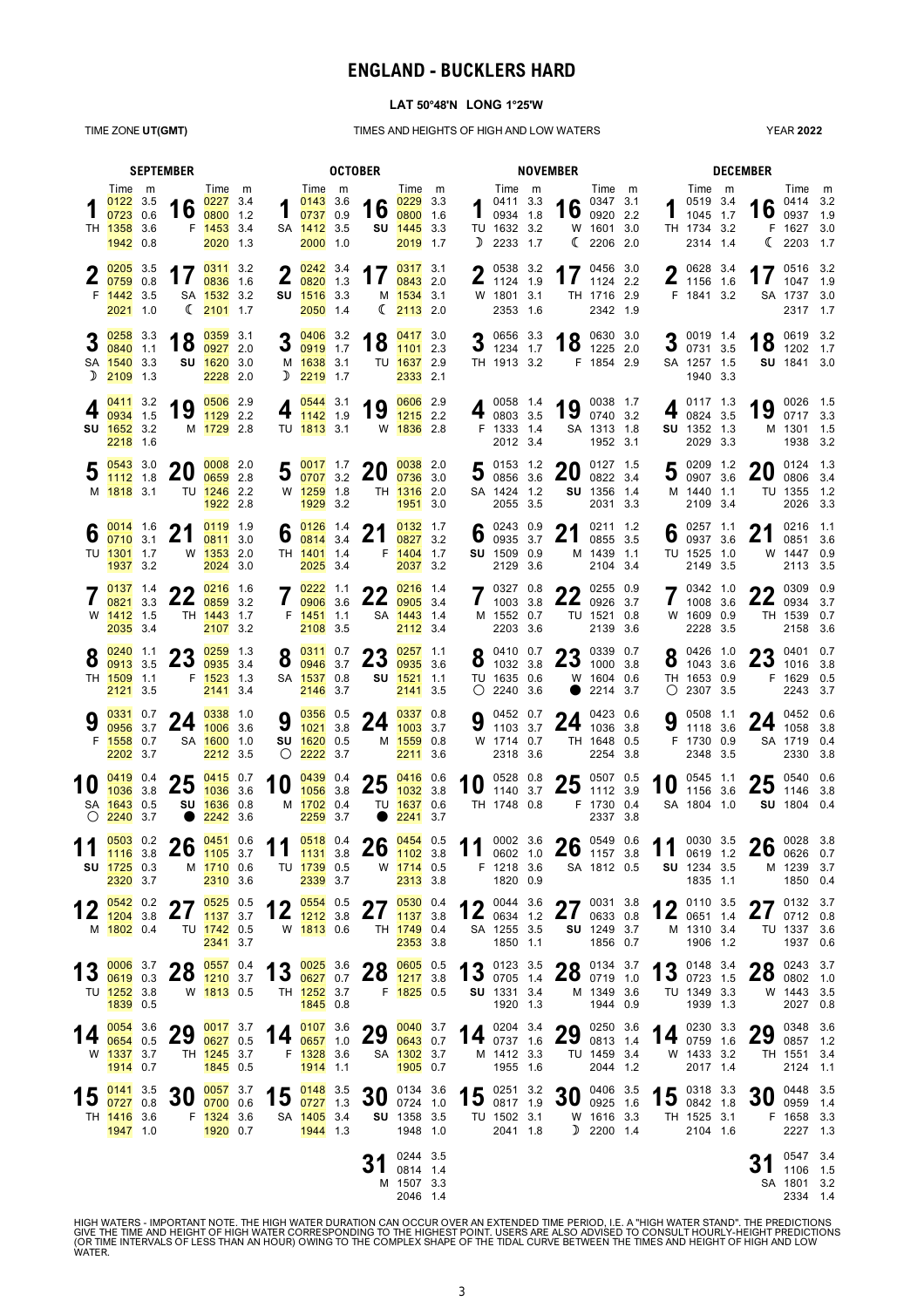### **ENGLAND - BUCKLERS HARD**

#### **LAT 50°48'N LONG 1°25'W**

TIME ZONE **UT(GMT)** TIMES AND HEIGHTS OF HIGH AND LOW WATERS

YEAR **2022**

|            |                                                                 | <b>SEPTEMBER</b> | <b>OCTOBER</b>                         |                                                                   |  |                                                                                              |                                                                  |  |                                                       | <b>NOVEMBER</b>                                                   |  |   |                                                                          |  |                     |                                                            |  | <b>DECEMBER</b> |                                                                        |                 |                                                                 |       |
|------------|-----------------------------------------------------------------|------------------|----------------------------------------|-------------------------------------------------------------------|--|----------------------------------------------------------------------------------------------|------------------------------------------------------------------|--|-------------------------------------------------------|-------------------------------------------------------------------|--|---|--------------------------------------------------------------------------|--|---------------------|------------------------------------------------------------|--|-----------------|------------------------------------------------------------------------|-----------------|-----------------------------------------------------------------|-------|
|            | Time m<br>$0122$ 3.5<br>0723 0.6<br>TH 1358 3.6<br>1942 0.8     |                  |                                        | Time m<br>16 $\frac{0227}{0800}$ 3.4<br>F 1453 3.4<br>2020 1.3    |  |                                                                                              | Time m<br>$0143$ 3.6<br>0737 0.9<br>SA 1412 3.5<br>2000 1.0      |  |                                                       | Time m<br>16 $\frac{0229}{0800}$ 3.3<br>SU 1445 3.3<br>2019 1.7   |  | D | Time m<br>0411 3.3<br>$\frac{0411}{0934}$ 1.8<br>TU 1632 3.2<br>2233 1.7 |  |                     | Time m<br>16 $^{0347}$ 3.1<br>W 1601 3.0<br>(2206, 2.0)    |  |                 | Time m<br>0519 3.4<br>1045 1.7<br>TH 1734 3.2<br>2314 1.4              |                 | Time m<br>16 $^{0414}$ 3.2<br>F 1627 3.0<br>$\binom{2203}{1.7}$ |       |
|            | $205$ 3.5<br>$0759$ 0.8<br>F 1442 3.5<br>2021 1.0               |                  | 17                                     | 0311 3.2<br>0836 1.6<br>SA 1532 3.2<br>$\binom{2101}{1.7}$        |  |                                                                                              | $2\frac{0242}{0820}$ 1.3<br>SU 1516 3.3<br>2050 1.4              |  |                                                       | 17 $\frac{0317}{0843}$ 3.1<br>M 1534 3.1<br>$\binom{2113}{2}$ 2.0 |  | ω | 0538 3.2<br>$\frac{2}{1124}$ 1.9<br>W 1801 3.1<br>2353 1.6               |  |                     | 17 $^{0456}$ 3.0<br>TH 1716 2.9<br>2342 1.9                |  |                 | $\bigcap$ 0628 3.4<br>$\frac{1}{1156}$ 1.6<br>F 1841 3.2               |                 | 17 $^{0516}$ 3.2<br>SA 1737 3.0<br>2317 1.7                     |       |
|            | $3\frac{0258}{0840}$ 3.3<br>SA 1540 3.3<br>$D$ 2109 1.3         |                  |                                        | 0359 3.1<br>18 $\frac{0359}{0927}$ 2.0<br>SU 1620 3.0<br>2228 2.0 |  |                                                                                              | $3\frac{0406}{0919}$ 1.7<br>M 1638 3.1<br>$D$ 2219 1.7           |  | 18 $\frac{0417}{1101}$ 3.0                            | TU 1637 2.9<br>2333 2.1                                           |  |   | 3 $\frac{0656}{1234}$ 1.7<br>TH 1913 3.2                                 |  |                     | $18$ $^{0630}$ 3.0<br>1225 2.0<br>F 1854 2.9               |  |                 | $20019$ 1.4<br>$J_{0731}3.5$<br>SA 1257 1.5<br>1940 3.3                |                 | 18 $^{0619}$ 3.2<br>SU 1841 3.0                                 |       |
|            | 0411 3.2<br>0934 1.5<br>SU 1652 3.2<br>2218 1.6                 |                  | 19                                     | 0506 2.9<br>1129 2.2<br>M 1729 2.8                                |  |                                                                                              | $4\frac{0544}{1142}$ 1.9<br>TU 1813 3.1                          |  | 19                                                    | 0606 2.9<br>$1215$ 2.2<br>W 1836 2.8                              |  |   | 4 $^{0058}$ 1.4<br>F 1333 1.4<br>2012 3.4                                |  | 19                  | 0038 1.7<br>0740 3.2<br>SA 1313 1.8<br>1952 3.1            |  |                 | 0117 1.3<br>0824 3.5<br>SU 1352 1.3<br>2029 3.3                        | 19              | 0026 1.5<br>0717 3.3<br>M 1301 1.5<br>1938 3.2                  |       |
|            | 0543 3.0<br>1112 1.8<br>M 1818 3.1                              |                  | <b>20</b>                              | 0008 2.0<br>0659 2.8<br>TU 1246 2.2<br>1922 2.8                   |  |                                                                                              | $5\frac{0017}{0707}$ 3.2<br>W 1259 1.8<br>1929 3.2               |  | 20                                                    | 0038 2.0<br>0736 3.0<br>TH 1316 2.0<br>1951 3.0                   |  |   | $5^{0153}$ 1.2<br>3008563.6<br>SA 1424 1.2<br>2055 3.5                   |  | 20                  | 0127 1.5<br>0822 3.4<br>SU 1356 1.4<br>2031 3.3            |  |                 | 5 ${}^{0209}$ ${}^{1.2}$ 0907 3.6<br>M 1440 1.1<br>2109 3.4            | 20              | 0124 1.3<br>0806 3.4<br>TU 1355 1.2<br>2026 3.3                 |       |
| O          | $\bullet$ 0014 1.6<br>$0710^{6}$ 3.1<br>TU 1301 1.7<br>1937 3.2 |                  | 21                                     | 0119 1.9<br>0811 3.0<br>W 1353 2.0<br>2024 3.0                    |  |                                                                                              | 6 $\frac{0126}{0814}$ 3.4<br>TH 1401 1.4<br>2025 3.4             |  | 21                                                    | 0132 1.7<br>0827 3.2<br>F 1404 1.7<br>2037 3.2                    |  |   | 6 $^{0243}_{0935}$ $^{0.9}_{37}$<br>SU 1509 0.9<br>2129 3.6              |  | 21                  | 0211 1.2<br>0855 3.5<br>M 1439 1.1<br>2104 3.4             |  |                 | 6 $^{0257}$ 1.1<br>TU 1525 1.0<br>2149 3.5                             | 21              | 0216 1.1<br>0851 3.6<br>W 1447 0.9<br>2113 3.5                  |       |
|            | 0137 1.4<br>0821 3.3<br>W 1412 1.5<br>2035 3.4                  |                  | $22^{0216}$ 1.6                        | TH 1443 1.7<br>2107 3.2                                           |  |                                                                                              | $7 \frac{0222}{0906}$ 3 e<br>0906 3.6<br>F 1451 1.1<br>2108 3.5  |  | 22 $\frac{0216}{0905}$ 3.4                            | SA 1443 1.4<br>2112 3.4                                           |  |   | $7^{0327}_{1003}$ 3.8<br>M 1552 0.7<br>2203 3.6                          |  |                     | 0255 0.9<br>22 $^{0255}$ 0.9<br>TU 1521 0.8<br>2139 3.6    |  |                 | $7^{0342}_{1008}$ $^{1.0}_{2.0}$<br>1008 3.6<br>W 1609 0.9<br>2228 3.5 |                 | 0309 0.9<br>22 $^{0309}$ 0.9<br>TH 1539 0.7<br>2158 3.6         |       |
| 8          | 0240 1.1<br>0913 3.5<br>TH 1509 1.1<br>2121 3.5                 |                  | nn                                     | $0259$ 1.3<br>$25_{0935}$ 3.4<br>F 1523 1.3<br>2141 3.4           |  |                                                                                              | $8 \frac{0311}{0946}$ $27$<br>SA 1537 0.8<br>2146 3.7            |  | $25_{0935}$ 3.6                                       | $257$ 1.1<br>SU 1521 1.1<br>2141 3.5                              |  |   | $0.0410$ 0.7<br>$\frac{8}{1032}$ 3.8<br>TU 1635 0.6<br>$O$ 2240 3.6      |  | $\bullet$           | $22.0339$ 0.7<br>$23_{1000}$ 3.8<br>W 1604 0.6<br>2214 3.7 |  |                 | $8^{0426}$ 1.0<br>1043 3.6<br>TH 1653 0.9<br>$O$ 2307 3.5              |                 | <b>ባ</b> ባ 0401 0.7<br>$23$ 1016 3.8<br>F 1629 0.5<br>2243 3.7  |       |
|            | 0331 0.7<br>0956 3.7<br>F 1558 0.7<br>2202 3.7                  |                  | 24                                     | 0338 1.0<br>$1006$ 3.6<br>SA 1600 1.0<br>2212 3.5                 |  |                                                                                              | 9 $\frac{0356}{1024}$ 0.5<br>SU 1620 0.5<br>$O$ 2222 3.7         |  | 24 $\frac{0337}{1003}$ 0.8                            | M 1559 0.8<br>2211 3.6                                            |  | Δ | 0452 0.7<br>$3.7$ 1103 3.7<br>W 1714 0.7<br>2318 3.6                     |  | 24 $^{0423}$ 0.6    | TH 1648 0.5<br>2254 3.8                                    |  | 9               | 0508 1.1<br>1118 3.6<br>F 1730 0.9<br>2348 3.5                         |                 | 24 $^{0452}_{1058}$ 3.8<br>SA 1719 0.4<br>2330                  | - 3.8 |
| $\bigcirc$ | $0419$ 0.4<br>1036 3.8<br>SA 1643 0.5<br>2240 3.7               |                  | $25\frac{0415}{1036}$ 3.6<br>$\bullet$ | 1036 3.6<br>SU 1636 0.8<br>2242 3.6                               |  | 10                                                                                           | $0439$ 0.4<br>1056 3.8<br>M 1702 0.4<br>2259 3.7                 |  | 25 $\frac{0416}{1032}$ 3.8                            | TU 1637 0.6<br>$2241$ 3.7                                         |  |   | 10 $^{0528}$ 0.8<br>1140 3.7<br>TH 1748 0.8                              |  | $25^{0507}$ 0.5     | 1112 3.9<br>F 1730 0.4<br>2337 3.8                         |  | 10              | 0545 1.1<br>1156 3.6<br>SA 1804 1.0                                    |                 | $25^{0540}$ 0.6<br>SU 1804 0.4                                  |       |
|            | <b>SU 1725 0.3</b><br>2320 3.7                                  |                  |                                        | M 1710 0.6<br>2310 3.6                                            |  | 0503 0.2 26 0451 0.6 11 0518 0.4 26 0454 0.5 11 0002 3.6 26 0549 0.6 11 0030 3.5 26 0028 3.8 | TU <mark>1739</mark> 0.5<br>2339 3.7                             |  |                                                       | W 1714 0.5<br>2313 3.8                                            |  |   | F 1218 3.6<br>1820 0.9                                                   |  |                     | SA 1812 0.5                                                |  |                 | <b>SU</b> 1234 3.5<br>1835 1.1                                         |                 | M 1239 3.7<br>1850 0.4                                          |       |
|            | $0542$ 0.2<br>$12_{1204}$ 3.8<br>M 1802 0.4                     |                  | 67<br>$\mathbf{Z}$                     | $0525$ 0.5<br>1137 3.7<br>TU 1742 0.5<br>2341 3.7                 |  |                                                                                              | $4 \bullet 0554 0.5$<br>$12_{\frac{1212}{3.8}}$<br>W 1813 0.6    |  | 27 $\frac{0530}{1137}$ 3.8                            | TH 1749 0.4<br>2353 3.8                                           |  |   | 12 $^{0044}$ 3.6<br>SA 1255 3.5<br>1850 1.1                              |  | 27 $^{0031}$ 3.8    | 0633 0.8<br>SU 1249 3.7<br>1856 0.7                        |  |                 | 0110 3.5<br>$12$ 0651 1.4<br>M 1310 3.4<br>1906 1.2                    | 27<br><u>21</u> | 0132 3.7<br>0712 0.8<br>TU 1337 3.6<br>1937 0.6                 |       |
|            | 13 $\frac{0006}{0619}$ 0.3<br>TU 1252 3.8<br>1839 0.5           |                  | $20^{0557}$ 0.4<br>$20$ $1210$ 3.7     | W 1813 0.5                                                        |  |                                                                                              | TH 1252 3.7<br>$1845$ 0.8                                        |  | 13 $\frac{0025}{0627}$ 3.6 28 $\frac{0605}{1217}$ 3.8 | F 1825 0.5                                                        |  |   | 13 0123 3.5<br>SU 1331 3.4<br>1920 1.3                                   |  | $28^{0134}$ 3.7     | M 1349 3.6<br>1944 0.9                                     |  |                 | $13$ 0148 3.4<br>TU 1349 3.3<br>1939 1.3                               |                 | <b>20</b> 0243 3.7<br>$20$ 0802 1.0<br>W 1443 3.5<br>2027 0.8   |       |
| 4          | 0054 3.6<br>14 $\frac{654}{0654}$ 0.5<br>W 1337 3.7<br>1914 0.7 |                  | 29                                     | 0017 3.7<br>0627 0.5<br>TH 1245 3.7<br>1845 0.5                   |  |                                                                                              | 0107 3.6<br>14 $\frac{0107}{0657}$ 1.0<br>F 1328 3.6<br>1914 1.1 |  | $29 \frac{0040}{0643}$ 0.7                            | SA 1302 3.7<br>$1905$ 0.7                                         |  |   | 0204 3.4<br>14 $^{0204}$ 3.4<br>M 1412 3.3<br>1955 1.6                   |  | 29                  | 0250 3.6<br>0813 1.4<br>TU 1459 3.4<br>2044 1.2            |  |                 | 0230 3.3<br>14 $0230$ 3.3<br>W 1433 3.2<br>2017 1.4                    | 29              | 0348 3.6<br>0857 1.2<br>TH 1551 3.4<br>2124 1.1                 |       |
| 15         | $0141$ 3.5<br>$0727$ 0.8<br>TH 1416 3.6<br>1947 1.0             |                  | 30                                     | 0057 3.7<br>0700 0.6<br>F 1324 3.6<br>1920 0.7                    |  |                                                                                              | 15 $\frac{0148}{0727}$ 1.3<br>SA 1405 3.4<br>1944 1.3            |  | 30                                                    | 0134 3.6<br>0724 1.0<br>SU 1358 3.5<br>1948 1.0                   |  |   | 15 $^{0251}$ 3.2<br>TU 1502 3.1<br>2041 1.8                              |  | 30<br>$\mathcal{D}$ | 0406 3.5<br>0925 1.6<br>W 1616 3.3<br>2200 1.4             |  |                 | 15 $^{0318}$ 3.3<br>TH 1525 3.1<br>2104 1.6                            | 30              | 0448 3.5<br>0959 1.4<br>F 1658 3.3<br>2227 1.3                  |       |
|            |                                                                 |                  |                                        |                                                                   |  |                                                                                              |                                                                  |  |                                                       | 0244 3.5<br>0814 1.4<br>M 1507 3.3<br>2046 1.4                    |  |   |                                                                          |  |                     |                                                            |  |                 |                                                                        |                 | 0547 3.4<br>1106 1.5<br>SA 1801 3.2<br>2334 1.4                 |       |

HIGH WATERS - IMPORTANT NOTE. THE HIGH WATER DURATION CAN OCCUR OVER AN EXTENDED TIME PERIOD, I.E. A "HIGH WATER STAND". THE PREDICTIONS<br>GIVE THE TIME AND HEIGHT OF HIGH WATER CORRESPONDING TO THE HIGHEST POINT. USERS ARE